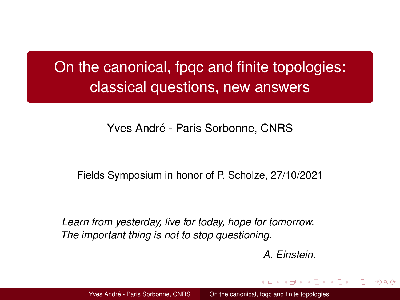# <span id="page-0-0"></span>On the canonical, fpqc and finite topologies: classical questions, new answers

## Yves André - Paris Sorbonne, CNRS

### Fields Symposium in honor of P. Scholze, 27/10/2021

*Learn from yesterday, live for today, hope for tomorrow. The important thing is not to stop questioning.*

*A. Einstein.*

イロト イ押ト イミト イミト

つひひ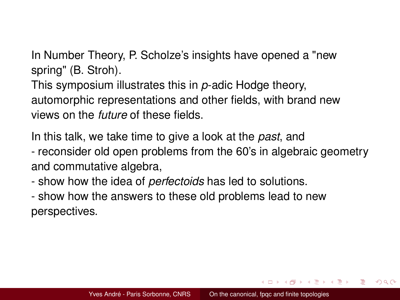In Number Theory, P. Scholze's insights have opened a "new spring" (B. Stroh).

This symposium illustrates this in *p*-adic Hodge theory, automorphic representations and other fields, with brand new views on the *future* of these fields.

In this talk, we take time to give a look at the *past*, and

- reconsider old open problems from the 60's in algebraic geometry and commutative algebra,

- show how the idea of *perfectoids* has led to solutions.

- show how the answers to these old problems lead to new perspectives.

**K ロ ト K 母 ト K ヨ ト K ヨ ト**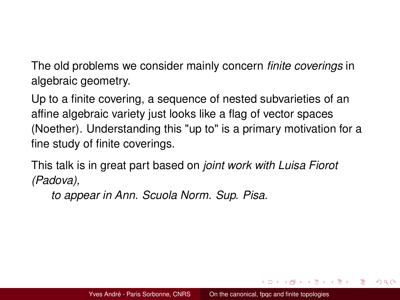The old problems we consider mainly concern *finite coverings* in algebraic geometry.

Up to a finite covering, a sequence of nested subvarieties of an affine algebraic variety just looks like a flag of vector spaces (Noether). Understanding this "up to" is a primary motivation for a fine study of finite coverings.

This talk is in great part based on *joint work with Luisa Fiorot (Padova),*

*to appear in Ann. Scuola Norm. Sup. Pisa*.

イロト イ母 トイラ トイラトー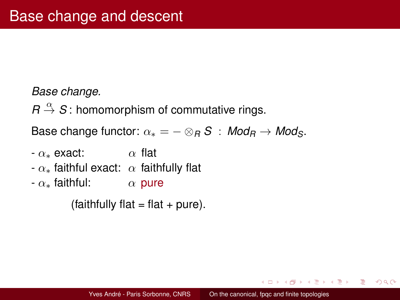### *Base change.*

 $R \stackrel{\alpha}{\rightarrow} S$ : homomorphism of commutative rings.

Base change functor:  $\alpha_* = - \otimes_R S$  :  $Mod_R \rightarrow Mod_S$ .

- $-\alpha_*$  exact:  $\alpha$  flat
- $-\alpha_*$  faithful exact:  $\alpha$  faithfully flat
- $-\alpha_*$  faithful:  $\alpha$  pure

 $(faithfully flat = flat + pure).$ 

4 ロ ト 4 何 ト 4 ヨ ト 4 ヨ ト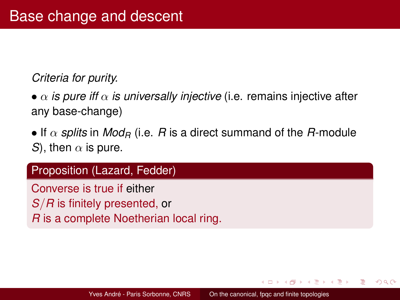### *Criteria for purity.*

•  $\alpha$  *is pure iff*  $\alpha$  *is universally injective* (i.e. remains injective after any base-change)

• If  $\alpha$  *splits* in *Mod<sub>R</sub>* (i.e. *R* is a direct summand of the *R*-module *S*), then  $\alpha$  is pure.

### Proposition (Lazard, Fedder)

Converse is true if either *S*/*R* is finitely presented, or *R* is a complete Noetherian local ring.

イロト イ母 トイラ トイラト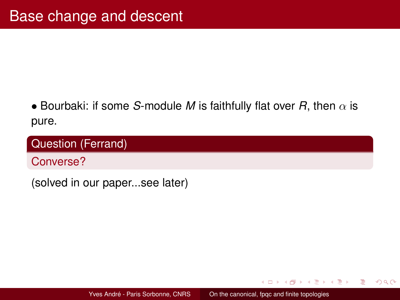## • Bourbaki: if some *S*-module *M* is faithfully flat over *R*, then  $\alpha$  is pure.

## Question (Ferrand)

Converse?

(solved in our paper...see later)

イロト イ母 トイヨ トイヨ トー

э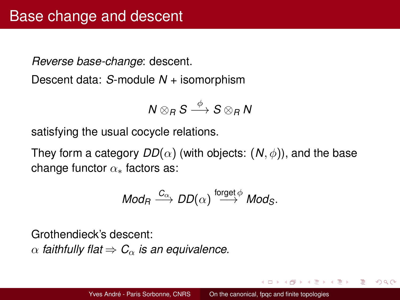*Reverse base-change*: descent.

Descent data: *S*-module *N* + isomorphism

$$
N\otimes_R S\stackrel{\phi}{\longrightarrow} S\otimes_R N
$$

satisfying the usual cocycle relations.

They form a category  $DD(\alpha)$  (with objects:  $(N, \phi)$ ), and the base change functor  $\alpha_*$  factors as:

$$
\textit{Mod}_R \xrightarrow{\textit{C}_{\alpha}} \textit{DD}(\alpha) \xrightarrow{\text{forget} \phi} \textit{Mod}_S.
$$

Grothendieck's descent:

 $\alpha$  *faithfully flat*  $\Rightarrow$   $C_{\alpha}$  *is an equivalence.* 

- 4 母 ト 4 ヨ ト 4 ヨ ト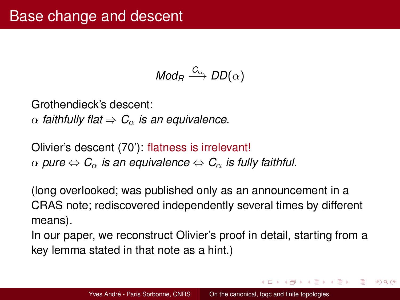$$
\mathit{Mod}_R \xrightarrow{\mathit{C}_{\alpha}} \mathit{DD}(\alpha)
$$

Grothendieck's descent:  $\alpha$  *faithfully flat*  $\Rightarrow$   $C_{\alpha}$  *is an equivalence.* 

Olivier's descent (70'): flatness is irrelevant!  $\alpha$  *pure*  $\Leftrightarrow$  *C*<sub> $\alpha$ </sub> *is an equivalence*  $\Leftrightarrow$  *C*<sub> $\alpha$ </sub> *is fully faithful.* 

(long overlooked; was published only as an announcement in a CRAS note; rediscovered independently several times by different means).

In our paper, we reconstruct Olivier's proof in detail, starting from a key lemma stated in that note as a hint.)

イロト イ母 トイヨ トイヨ トー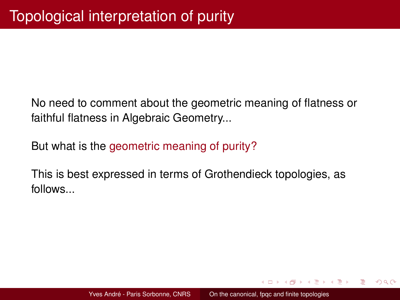No need to comment about the geometric meaning of flatness or faithful flatness in Algebraic Geometry...

But what is the geometric meaning of purity?

This is best expressed in terms of Grothendieck topologies, as follows...

イロト イ押ト イミト イミト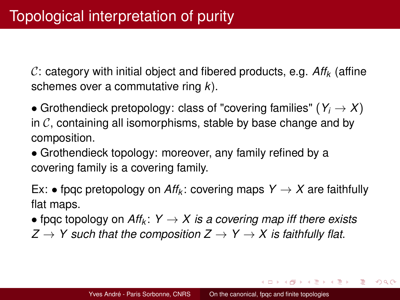C: category with initial object and fibered products, e.g. *Aff<sup>k</sup>* (affine schemes over a commutative ring *k*).

• Grothendieck pretopology: class of "covering families" ( $Y_i \rightarrow X$ ) in  $\mathcal C$ , containing all isomorphisms, stable by base change and by composition.

• Grothendieck topology: moreover, any family refined by a covering family is a covering family.

Ex: • fpqc pretopology on  $Aff_k$ : covering maps  $Y \to X$  are faithfully flat maps.

• fpqc topology on  $Aff_k: Y \rightarrow X$  is a covering map iff there exists

 $Z \rightarrow Y$  such that the composition  $Z \rightarrow Y \rightarrow X$  is faithfully flat.

**K ロ ト K 母 ト K ヨ ト K ヨ ト**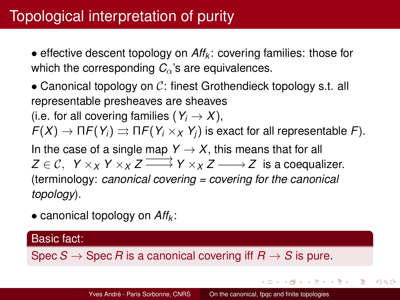• effective descent topology on *Aff<sup>k</sup>* : covering families: those for which the corresponding  $C_{\alpha}$ 's are equivalences.

• Canonical topology on  $\mathcal{C}$ : finest Grothendieck topology s.t. all representable presheaves are sheaves (i.e. for all covering families  $(Y_i \rightarrow X)$ ,  $F(X) \to \Pi F(Y_i) \rightrightarrows \Pi F(Y_i \times_X Y_i)$  is exact for all representable *F*). In the case of a single map  $Y \to X$ , this means that for all  $Z \in \mathcal{C}$ ,  $Y \times_X Y \times_X Z \longrightarrow Y \times_X Z \longrightarrow Z$  is a coequalizer. (terminology: *canonical covering = covering for the canonical topology*).

• canonical topology on *Aff<sup>k</sup>* :

### Basic fact:

Spec  $S \to$  Spec *R* is a canonical covering iff  $R \to S$  is pure.

4 ロト 4 何 ト 4 ミト 4 ミト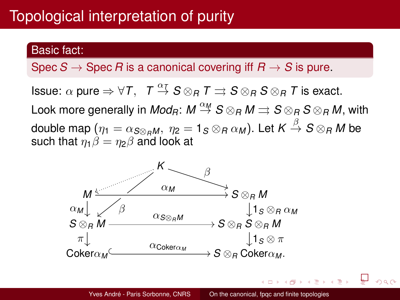# Topological interpretation of purity

### Basic fact:

Spec  $S \to$  Spec *R* is a canonical covering iff  $R \to S$  is pure.

 $\mathsf{Issue:}\ \alpha\ \mathsf{pure} \Rightarrow \forall\, \mathcal{T},\ \ \mathcal{T} \stackrel{\alpha\tau}{\rightarrow} \mathcal{S}\otimes_{\mathcal{R}}\mathcal{T} \rightrightarrows \mathcal{S}\otimes_{\mathcal{R}}\mathcal{S}\otimes_{\mathcal{R}}\mathcal{T}$  is exact. Look more generally in  $Mod_R\colon M \stackrel{\alpha_M}\to S \otimes_R M \rightrightarrows S \otimes_R S \otimes_R M,$  with double map  $(\eta_1=\alpha_{\mathcal{S}\otimes_{R}M},\ \eta_2=\mathbf{1}_{\mathcal{S}}\otimes_{R}\alpha_M).$  Let  $\mathcal{K}\stackrel{\beta}{\to}\mathcal{S}\otimes_{R}M$  be such that  $\eta_1 \beta = \eta_2 \beta$  and look at

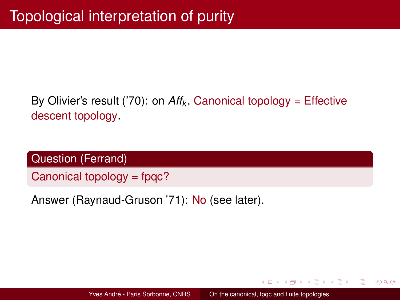# By Olivier's result ('70): on  $Aff_k$ , Canonical topology = Effective descent topology.

Question (Ferrand)

Canonical topology = fpqc?

Answer (Raynaud-Gruson '71): No (see later).

イロト イ母 トイラ トイラトー

э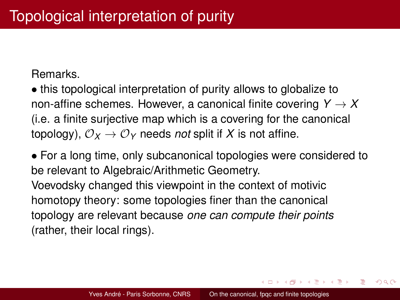Remarks.

• this topological interpretation of purity allows to globalize to non-affine schemes. However, a canonical finite covering  $Y \to X$ (i.e. a finite surjective map which is a covering for the canonical topology),  $\mathcal{O}_X \rightarrow \mathcal{O}_Y$  needs *not* split if X is not affine.

• For a long time, only subcanonical topologies were considered to be relevant to Algebraic/Arithmetic Geometry. Voevodsky changed this viewpoint in the context of motivic homotopy theory: some topologies finer than the canonical topology are relevant because *one can compute their points* (rather, their local rings).

4 ロ ト 4 何 ト 4 ヨ ト 4 ヨ ト

 $2Q$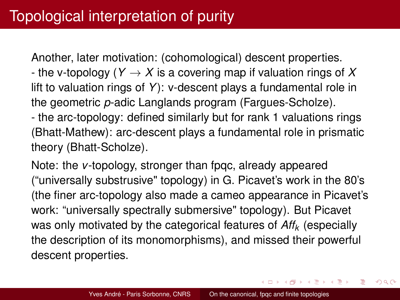Another, later motivation: (cohomological) descent properties.

- the v-topology ( $Y \rightarrow X$  is a covering map if valuation rings of X lift to valuation rings of *Y*): v-descent plays a fundamental role in the geometric *p*-adic Langlands program (Fargues-Scholze).

- the arc-topology: defined similarly but for rank 1 valuations rings (Bhatt-Mathew): arc-descent plays a fundamental role in prismatic theory (Bhatt-Scholze).

Note: the *v*-topology, stronger than fpqc, already appeared ("universally substrusive" topology) in G. Picavet's work in the 80's (the finer arc-topology also made a cameo appearance in Picavet's work: "universally spectrally submersive" topology). But Picavet was only motivated by the categorical features of *Aff<sup>k</sup>* (especially the description of its monomorphisms), and missed their powerful descent properties.

4 ロト 4 何 ト 4 ミト 4 ミト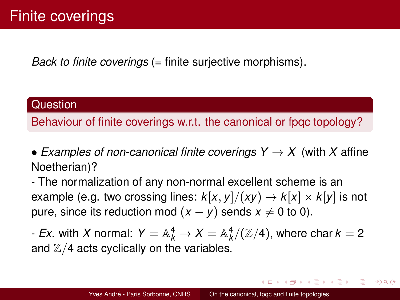*Back to finite coverings* (= finite surjective morphisms).

### **Question**

Behaviour of finite coverings w.r.t. the canonical or fpqc topology?

• *Examples of non-canonical finite coverings*  $Y \rightarrow X$  *(with X affine)* Noetherian)?

- The normalization of any non-normal excellent scheme is an example (e.g. two crossing lines:  $k[x, y]/(xy) \rightarrow k[x] \times k[y]$  is not pure, since its reduction mod  $(x - y)$  sends  $x \neq 0$  to 0).

- *Ex*. with  $X$  normal:  $Y = \mathbb{A}^4_k \to X = \mathbb{A}^4_k/(\mathbb{Z}/4)$ , where char  $k=2$ and  $\mathbb{Z}/4$  acts cyclically on the variables.

**K ロ ト K 母 ト K ヨ ト K ヨ ト**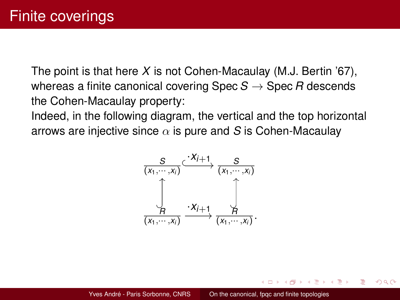The point is that here *X* is not Cohen-Macaulay (M.J. Bertin '67), whereas a finite canonical covering Spec  $S \rightarrow$  Spec *R* descends the Cohen-Macaulay property:

Indeed, in the following diagram, the vertical and the top horizontal arrows are injective since  $\alpha$  is pure and S is Cohen-Macaulay



イロト イ母 トイヨ トイヨ トー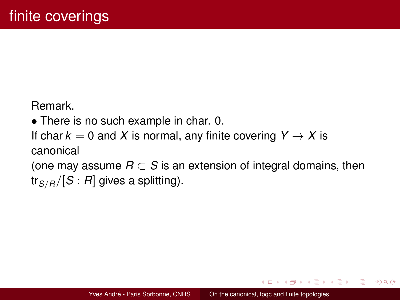Remark.

• There is no such example in char. 0.

If char  $k = 0$  and X is normal, any finite covering  $Y \rightarrow X$  is canonical

(one may assume  $R \subset S$  is an extension of integral domains, then tr*S*/*R*/[*S* : *R*] gives a splitting).

イロト イ母ト イヨト イヨトー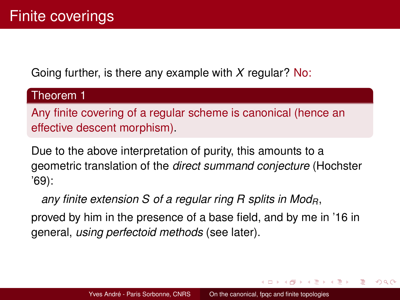Going further, is there any example with *X* regular? No:

### Theorem 1

Any finite covering of a regular scheme is canonical (hence an effective descent morphism).

Due to the above interpretation of purity, this amounts to a geometric translation of the *direct summand conjecture* (Hochster '69):

*any finite extension S of a regular ring R splits in ModR*,

proved by him in the presence of a base field, and by me in '16 in general, *using perfectoid methods* (see later).

イロト イ母 トイヨ トイヨ トー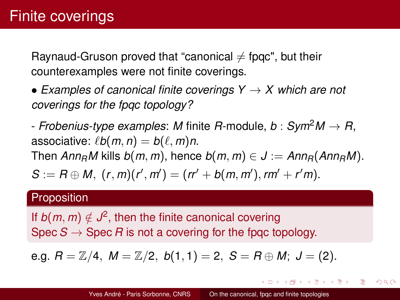Raynaud-Gruson proved that "canonical  $\neq$  fpqc", but their counterexamples were not finite coverings.

• *Examples of canonical finite coverings Y* → *X which are not coverings for the fpqc topology?*

- *Frobenius-type examples*: *M* finite *R*-module, *b* : *Sym*2*M* → *R*, associative:  $\ell b(m, n) = b(\ell, m)n$ . Then  $Ann<sub>R</sub>M$  kills  $b(m, m)$ , hence  $b(m, m) \in J := Ann<sub>R</sub>(Ann<sub>R</sub>M)$ .  $S := R \oplus M$ ,  $(r, m)(r', m') = (rr' + b(m, m'), rm' + r'm)$ .

### **Proposition**

If  $b(m, m) \notin J^2$ , then the finite canonical covering Spec  $S \to \text{Spec } R$  is not a covering for the fpgc topology.

e.g.  $R = \mathbb{Z}/4$ ,  $M = \mathbb{Z}/2$ ,  $b(1, 1) = 2$ ,  $S = R \oplus M$ ;  $J = (2)$ .

4 ロト 4 何 ト 4 ミト 4 ミト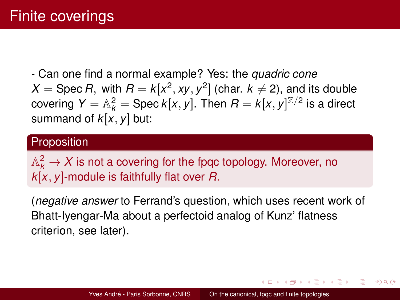- Can one find a normal example? Yes: the *quadric cone*  $X = \mathsf{Spec}\,R,$  with  $R = k[x^2, xy, y^2]$  (char.  $k \neq 2$ ), and its double covering  $Y = \mathbb{A}_k^2 = \operatorname{Spec} k[x, y]$ . Then  $R = k[x, y]^{\mathbb{Z}/2}$  is a direct summand of *k*[*x*, *y*] but:

### **Proposition**

 $\mathbb{A}_k^2\to X$  is not a covering for the fpqc topology. Moreover, no *k*[*x*, *y*]-module is faithfully flat over *R*.

(*negative answer* to Ferrand's question, which uses recent work of Bhatt-Iyengar-Ma about a perfectoid analog of Kunz' flatness criterion, see later).

**イロト イ母 ト イヨ ト イヨ ト**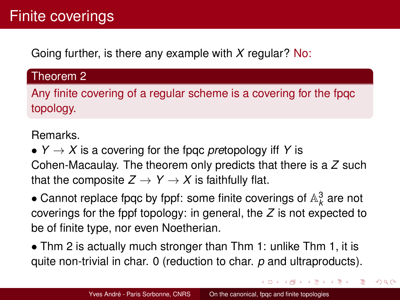Going further, is there any example with *X* regular? No:

### Theorem 2

Any finite covering of a regular scheme is a covering for the fpqc topology.

Remarks.

•  $Y \rightarrow X$  is a covering for the fpgc *pre*topology iff Y is Cohen-Macaulay. The theorem only predicts that there is a *Z* such that the composite  $Z \rightarrow Y \rightarrow X$  is faithfully flat.

 $\bullet$  Cannot replace fpqc by fppf: some finite coverings of  $\mathbb{A}^3_k$  are not coverings for the fppf topology: in general, the *Z* is not expected to be of finite type, nor even Noetherian.

• Thm 2 is actually much stronger than Thm 1: unlike Thm 1, it is quite non-trivial in char. 0 (reduction to char. *p* and ultraproducts).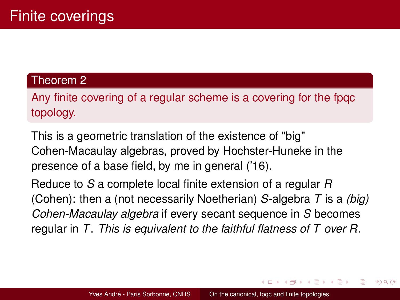### Theorem 2

Any finite covering of a regular scheme is a covering for the fpqc topology.

This is a geometric translation of the existence of "big" Cohen-Macaulay algebras, proved by Hochster-Huneke in the presence of a base field, by me in general ('16).

Reduce to *S* a complete local finite extension of a regular *R* (Cohen): then a (not necessarily Noetherian) *S*-algebra *T* is a *(big) Cohen-Macaulay algebra* if every secant sequence in *S* becomes regular in *T*. *This is equivalent to the faithful flatness of T over R*.

イロト イ母 トイヨ トイヨ トー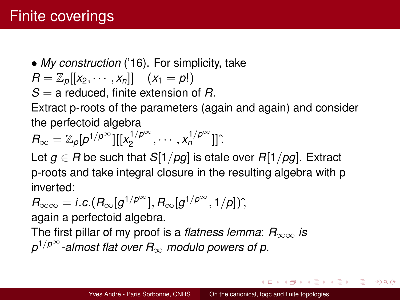• *My construction* ('16). For simplicity, take

$$
R=\mathbb{Z}_p[[x_2,\cdots,x_n]] \quad (x_1=p!)
$$

*S* = a reduced, finite extension of *R*.

Extract p-roots of the parameters (again and again) and consider the perfectoid algebra

$$
R_{\infty}=\mathbb{Z}_{p}[p^{1/p^{\infty}}][[x_2^{1/p^{\infty}},\cdots,x_n^{1/p^{\infty}}]]^{\hat{}}.
$$

Let  $g \in R$  be such that  $S[1/pg]$  is etale over  $R[1/pg]$ . Extract p-roots and take integral closure in the resulting algebra with p inverted:

$$
R_{\infty\infty}=i.c.(R_{\infty}[g^{1/p^{\infty}}], R_{\infty}[g^{1/p^{\infty}}, 1/p])^{\hat{}}.
$$

again a perfectoid algebra.

The first pillar of my proof is a *flatness lemma*: *R*∞∞ *is p* 1/*p*<sup>∞</sup> *-almost flat over R*∞ *modulo powers of p*.

イロト イ押ト イミト イミト

つひつ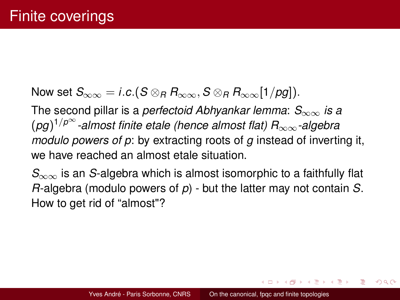Now set  $S_{\infty\infty} = i.c.(S \otimes_R R_{\infty\infty}, S \otimes_R R_{\infty\infty}[1/pq])$ .

The second pillar is a *perfectoid Abhyankar lemma*: *S*∞∞ *is a* (*pg*) 1/*p*<sup>∞</sup> *-almost finite etale (hence almost flat) R*∞∞*-algebra modulo powers of p*: by extracting roots of *g* instead of inverting it, we have reached an almost etale situation.

*S*∞∞ is an *S*-algebra which is almost isomorphic to a faithfully flat *R*-algebra (modulo powers of *p*) - but the latter may not contain *S*. How to get rid of "almost"?

イロト イ母 トイヨ トイヨ トー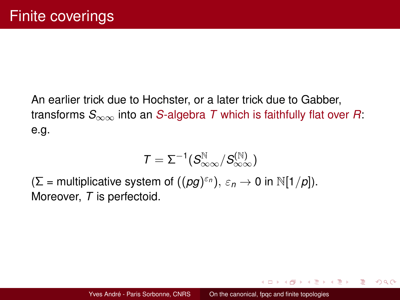An earlier trick due to Hochster, or a later trick due to Gabber, transforms *S*∞∞ into an *S*-algebra *T* which is faithfully flat over *R*: e.g.

$$
\mathcal{T} = \Sigma^{-1} (S_{\infty\infty}^{\mathbb{N}}/S_{\infty\infty}^{(\mathbb{N})})
$$

 $(\Sigma =$  multiplicative system of  $((pg)^{\varepsilon_n}), \varepsilon_n \to 0$  in  $\mathbb{N}[1/p]).$ Moreover, *T* is perfectoid.

イロト イ押ト イミト イミト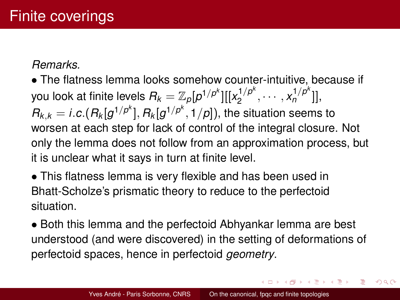### *Remarks.*

• The flatness lemma looks somehow counter-intuitive, because if you look at finite levels  $R_k = \mathbb{Z}_\rho[p^{1/p^k}][[x_2^{1/p^k}$  $\chi_2^{1/p^k}, \cdots, \chi_n^{1/p^k}$ ]],  $R_{k,k} = i.c.(R_k[g^{1/p^k}], R_k[g^{1/p^k}, 1/p])$ , the situation seems to worsen at each step for lack of control of the integral closure. Not only the lemma does not follow from an approximation process, but it is unclear what it says in turn at finite level.

• This flatness lemma is very flexible and has been used in Bhatt-Scholze's prismatic theory to reduce to the perfectoid situation.

• Both this lemma and the perfectoid Abhyankar lemma are best understood (and were discovered) in the setting of deformations of perfectoid spaces, hence in perfectoid *geometry*.

4 ロ ト 4 何 ト 4 ヨ ト 4 ヨ ト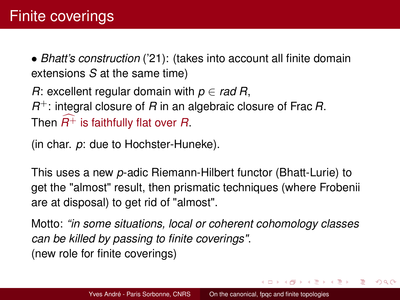• *Bhatt's construction* ('21): (takes into account all finite domain extensions *S* at the same time)

*R*: excellent regular domain with *p* ∈ *rad R*, *R* <sup>+</sup>: integral closure of *R* in an algebraic closure of Frac *R*. Then  $R^+$  is faithfully flat over  $R$ .

(in char. *p*: due to Hochster-Huneke).

This uses a new *p*-adic Riemann-Hilbert functor (Bhatt-Lurie) to get the "almost" result, then prismatic techniques (where Frobenii are at disposal) to get rid of "almost".

Motto: *"in some situations, local or coherent cohomology classes can be killed by passing to finite coverings"*. (new role for finite coverings)

イロト イ押ト イミト イミト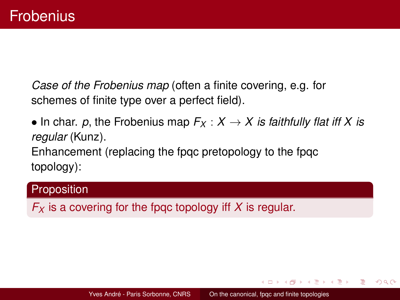*Case of the Frobenius map* (often a finite covering, e.g. for schemes of finite type over a perfect field).

• In char. p, the Frobenius map  $F_X: X \to X$  is faithfully flat iff X is *regular* (Kunz). Enhancement (replacing the fpqc pretopology to the fpqc topology):

### **Proposition**

*F<sup>X</sup>* is a covering for the fpqc topology iff *X* is regular.

イロト イ母 トイラ トイラトー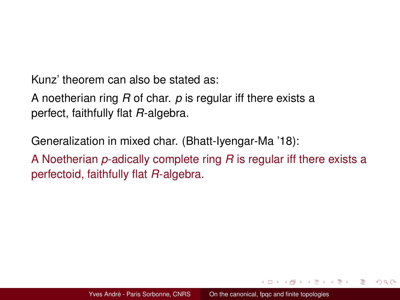Kunz' theorem can also be stated as:

A noetherian ring *R* of char. *p* is regular iff there exists a perfect, faithfully flat *R*-algebra.

Generalization in mixed char. (Bhatt-Iyengar-Ma '18):

A Noetherian *p*-adically complete ring *R* is regular iff there exists a perfectoid, faithfully flat *R*-algebra.

イロト イ母 トイヨ トイヨ トー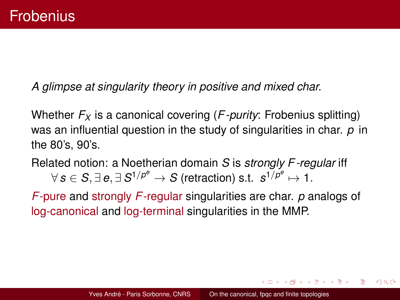*A glimpse at singularity theory in positive and mixed char.*

Whether *F<sup>X</sup>* is a canonical covering (*F -purity*: Frobenius splitting) was an influential question in the study of singularities in char. *p* in the 80's, 90's.

Related notion: a Noetherian domain *S* is *strongly F -regular* iff  $\forall\,s\in S,\exists\, e,\exists\, S^{1/p^e}\rightarrow S$  (retraction) s.t.  $\,s^{1/p^e}\mapsto 1.$ 

*F*-pure and strongly *F*-regular singularities are char. *p* analogs of log-canonical and log-terminal singularities in the MMP.

イロト イ母 トイヨ トイヨ トー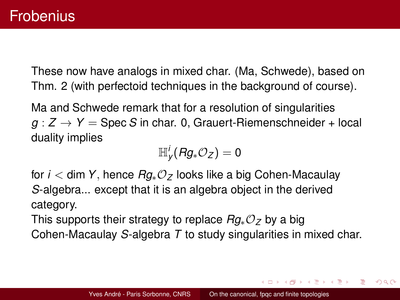These now have analogs in mixed char. (Ma, Schwede), based on Thm. 2 (with perfectoid techniques in the background of course).

Ma and Schwede remark that for a resolution of singularities  $g: Z \rightarrow Y =$  Spec *S* in char. 0, Grauert-Riemenschneider + local duality implies

$$
\mathbb{H}^i_{\mathsf{y}}(\mathsf{R} g_*\mathcal{O}_{\mathsf{Z}})=0
$$

for *i* < dim *Y*, hence *Rg*∗O*<sup>Z</sup>* looks like a big Cohen-Macaulay *S*-algebra... except that it is an algebra object in the derived category.

This supports their strategy to replace *Rg*∗O*<sup>Z</sup>* by a big Cohen-Macaulay *S*-algebra *T* to study singularities in mixed char.

イロト イ母ト イヨト イヨトー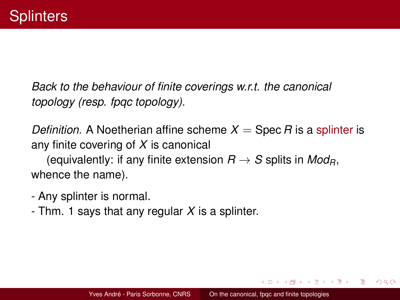*Back to the behaviour of finite coverings w.r.t. the canonical topology (resp. fpqc topology).*

*Definition.* A Noetherian affine scheme  $X = \text{Spec } R$  is a splinter is any finite covering of *X* is canonical

(equivalently: if any finite extension  $R \rightarrow S$  splits in *Mod<sub>R</sub>*, whence the name).

- Any splinter is normal.
- Thm. 1 says that any regular *X* is a splinter.

イロト イ母ト イヨト イヨトー

 $2Q$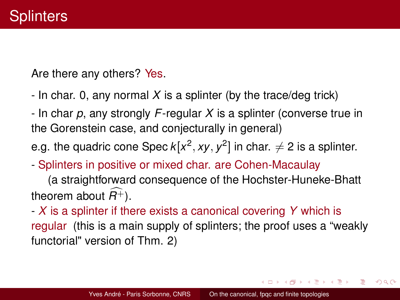Are there any others? Yes.

- In char. 0, any normal *X* is a splinter (by the trace/deg trick)

- In char *p*, any strongly *F*-regular *X* is a splinter (converse true in the Gorenstein case, and conjecturally in general)

e.g. the quadric cone Spec  $k[x^2, xy, y^2]$  in char.  $\neq 2$  is a splinter.

- Splinters in positive or mixed char. are Cohen-Macaulay

(a straightforward consequence of the Hochster-Huneke-Bhatt theorem about  $\widehat{R^+}$ ).

- *X* is a splinter if there exists a canonical covering *Y* which is regular (this is a main supply of splinters; the proof uses a "weakly functorial" version of Thm. 2)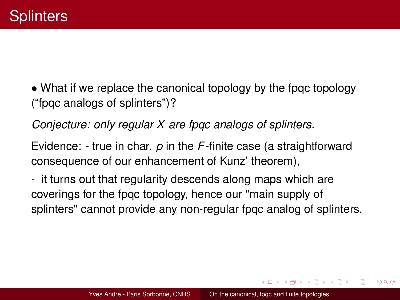<span id="page-34-0"></span>• What if we replace the canonical topology by the fpqc topology ("fpqc analogs of splinters")?

*Conjecture: only regular X are fpqc analogs of splinters*.

Evidence: - true in char. *p* in the *F*-finite case (a straightforward consequence of our enhancement of Kunz' theorem),

- it turns out that regularity descends along maps which are coverings for the fpqc topology, hence our "main supply of splinters" cannot provide any non-regular fpqc analog of splinters.

イロト イ母 トイヨ トイヨ トー